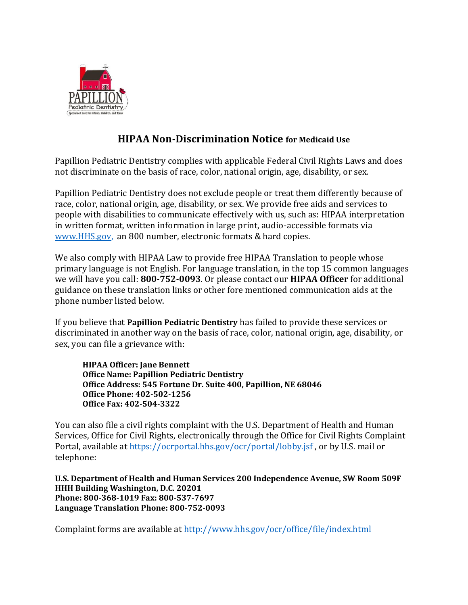

# **HIPAA Non-Discrimination Notice for Medicaid Use**

Papillion Pediatric Dentistry complies with applicable Federal Civil Rights Laws and does not discriminate on the basis of race, color, national origin, age, disability, or sex.

Papillion Pediatric Dentistry does not exclude people or treat them differently because of race, color, national origin, age, disability, or sex. We provide free aids and services to people with disabilities to communicate effectively with us, such as: HIPAA interpretation in written format, written information in large print, audio-accessible formats via [www.HHS.gov,](http://www.hhs.gov/) an 800 number, electronic formats & hard copies.

We also comply with HIPAA Law to provide free HIPAA Translation to people whose primary language is not English. For language translation, in the top 15 common languages we will have you call: **800-752-0093**. Or please contact our **HIPAA Officer** for additional guidance on these translation links or other fore mentioned communication aids at the phone number listed below.

If you believe that **Papillion Pediatric Dentistry** has failed to provide these services or discriminated in another way on the basis of race, color, national origin, age, disability, or sex, you can file a grievance with:

**HIPAA Officer: Jane Bennett Office Name: Papillion Pediatric Dentistry Office Address: 545 Fortune Dr. Suite 400, Papillion, NE 68046 Office Phone: 402-502-1256 Office Fax: 402-504-3322** 

You can also file a civil rights complaint with the U.S. Department of Health and Human Services, Office for Civil Rights, electronically through the Office for Civil Rights Complaint Portal, available at https://ocrportal.hhs.gov/ocr/portal/lobby.jsf , or by U.S. mail or telephone:

**U.S. Department of Health and Human Services 200 Independence Avenue, SW Room 509F HHH Building Washington, D.C. 20201 Phone: 800-368-1019 Fax: 800-537-7697 Language Translation Phone: 800-752-0093** 

Complaint forms are available at http://www.hhs.gov/ocr/office/file/index.html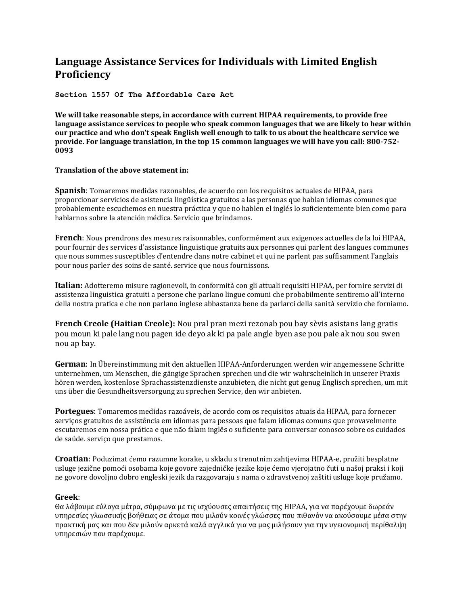# **Language Assistance Services for Individuals with Limited English Proficiency**

## **Section 1557 Of The Affordable Care Act**

**We will take reasonable steps, in accordance with current HIPAA requirements, to provide free language assistance services to people who speak common languages that we are likely to hear within our practice and who don't speak English well enough to talk to us about the healthcare service we provide. For language translation, in the top 15 common languages we will have you call: 800-752- 0093**

### **Translation of the above statement in:**

**Spanish**: Tomaremos medidas razonables, de acuerdo con los requisitos actuales de HIPAA, para proporcionar servicios de asistencia lingüística gratuitos a las personas que hablan idiomas comunes que probablemente escuchemos en nuestra práctica y que no hablen el inglés lo suficientemente bien como para hablarnos sobre la atención médica. Servicio que brindamos.

**French**: Nous prendrons des mesures raisonnables, conformément aux exigences actuelles de la loi HIPAA, pour fournir des services d'assistance linguistique gratuits aux personnes qui parlent des langues communes que nous sommes susceptibles d'entendre dans notre cabinet et qui ne parlent pas suffisamment l'anglais pour nous parler des soins de santé. service que nous fournissons.

**Italian:** Adotteremo misure ragionevoli, in conformità con gli attuali requisiti HIPAA, per fornire servizi di assistenza linguistica gratuiti a persone che parlano lingue comuni che probabilmente sentiremo all'interno della nostra pratica e che non parlano inglese abbastanza bene da parlarci della sanità servizio che forniamo.

**French Creole (Haitian Creole):** Nou pral pran mezi rezonab pou bay sèvis asistans lang gratis pou moun ki pale lang nou pagen ide deyo ak ki pa pale angle byen ase pou pale ak nou sou swen nou ap bay.

**German**: In Übereinstimmung mit den aktuellen HIPAA-Anforderungen werden wir angemessene Schritte unternehmen, um Menschen, die gängige Sprachen sprechen und die wir wahrscheinlich in unserer Praxis hören werden, kostenlose Sprachassistenzdienste anzubieten, die nicht gut genug Englisch sprechen, um mit uns über die Gesundheitsversorgung zu sprechen Service, den wir anbieten.

**Portegues**: Tomaremos medidas razoáveis, de acordo com os requisitos atuais da HIPAA, para fornecer serviços gratuitos de assistência em idiomas para pessoas que falam idiomas comuns que provavelmente escutaremos em nossa prática e que não falam inglês o suficiente para conversar conosco sobre os cuidados de saúde. serviço que prestamos.

**Croatian**: Poduzimat ćemo razumne korake, u skladu s trenutnim zahtjevima HIPAA-e, pružiti besplatne usluge jezične pomoći osobama koje govore zajedničke jezike koje ćemo vjerojatno čuti u našoj praksi i koji ne govore dovoljno dobro engleski jezik da razgovaraju s nama o zdravstvenoj zaštiti usluge koje pružamo.

### **Greek**:

Θα λάβουμε εύλογα μέτρα, σύμφωνα με τις ισχύουσες απαιτήσεις της HIPAA, για να παρέχουμε δωρεάν υπηρεσίες γλωσσικής βοήθειας σε άτομα που μιλούν κοινές γλώσσες που πιθανόν να ακούσουμε μέσα στην πρακτική μας και που δεν μιλούν αρκετά καλά αγγλικά για να μας μιλήσουν για την υγειονομική περίθαλψη υπηρεσιών που παρέχουμε.